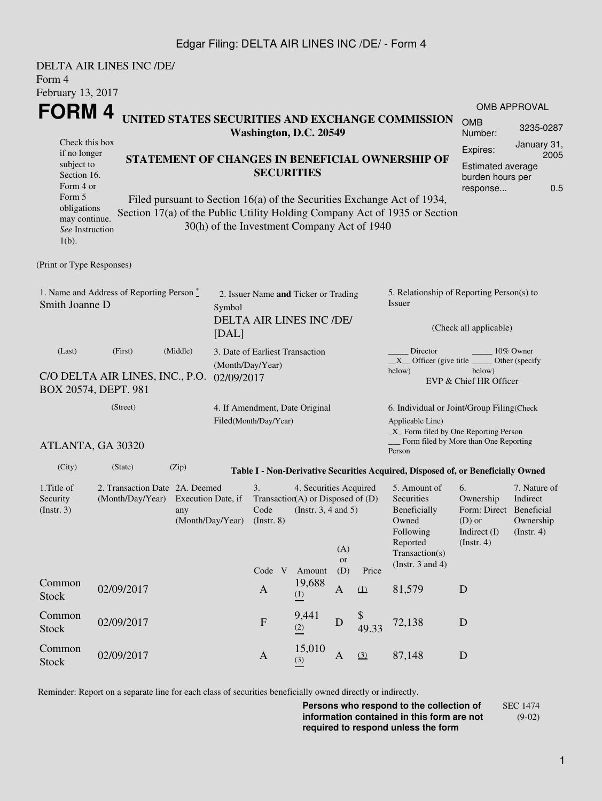### Edgar Filing: DELTA AIR LINES INC /DE/ - Form 4

| Form 4                                                                                                                                            | DELTA AIR LINES INC /DE/                                          |                                                                                                                                                                                                                                                                              |                                                                                     |                                                                                                                                                                          |               |                                                                                                                                                              |                                                                                                                                                                                            |                                                                                  |                                                                                 |                                                                                                    |  |  |
|---------------------------------------------------------------------------------------------------------------------------------------------------|-------------------------------------------------------------------|------------------------------------------------------------------------------------------------------------------------------------------------------------------------------------------------------------------------------------------------------------------------------|-------------------------------------------------------------------------------------|--------------------------------------------------------------------------------------------------------------------------------------------------------------------------|---------------|--------------------------------------------------------------------------------------------------------------------------------------------------------------|--------------------------------------------------------------------------------------------------------------------------------------------------------------------------------------------|----------------------------------------------------------------------------------|---------------------------------------------------------------------------------|----------------------------------------------------------------------------------------------------|--|--|
| February 13, 2017                                                                                                                                 |                                                                   |                                                                                                                                                                                                                                                                              |                                                                                     |                                                                                                                                                                          |               |                                                                                                                                                              |                                                                                                                                                                                            |                                                                                  |                                                                                 |                                                                                                    |  |  |
| FORM 4                                                                                                                                            |                                                                   |                                                                                                                                                                                                                                                                              |                                                                                     |                                                                                                                                                                          |               |                                                                                                                                                              |                                                                                                                                                                                            |                                                                                  |                                                                                 | <b>OMB APPROVAL</b>                                                                                |  |  |
|                                                                                                                                                   |                                                                   |                                                                                                                                                                                                                                                                              | UNITED STATES SECURITIES AND EXCHANGE COMMISSION<br>Washington, D.C. 20549          |                                                                                                                                                                          |               |                                                                                                                                                              |                                                                                                                                                                                            |                                                                                  | <b>OMB</b><br>Number:                                                           | 3235-0287                                                                                          |  |  |
| Check this box<br>if no longer<br>subject to<br>Section 16.<br>Form 4 or<br>Form 5<br>obligations<br>may continue.<br>See Instruction<br>$1(b)$ . |                                                                   | STATEMENT OF CHANGES IN BENEFICIAL OWNERSHIP OF<br><b>SECURITIES</b><br>Filed pursuant to Section 16(a) of the Securities Exchange Act of 1934,<br>Section 17(a) of the Public Utility Holding Company Act of 1935 or Section<br>30(h) of the Investment Company Act of 1940 |                                                                                     |                                                                                                                                                                          |               |                                                                                                                                                              |                                                                                                                                                                                            |                                                                                  |                                                                                 | January 31,<br>Expires:<br>2005<br><b>Estimated average</b><br>burden hours per<br>0.5<br>response |  |  |
| (Print or Type Responses)                                                                                                                         |                                                                   |                                                                                                                                                                                                                                                                              |                                                                                     |                                                                                                                                                                          |               |                                                                                                                                                              |                                                                                                                                                                                            |                                                                                  |                                                                                 |                                                                                                    |  |  |
| 1. Name and Address of Reporting Person $\degree$<br>Smith Joanne D                                                                               |                                                                   |                                                                                                                                                                                                                                                                              | 2. Issuer Name and Ticker or Trading<br>Symbol<br>DELTA AIR LINES INC /DE/<br>[DAL] |                                                                                                                                                                          |               |                                                                                                                                                              |                                                                                                                                                                                            | 5. Relationship of Reporting Person(s) to<br>Issuer<br>(Check all applicable)    |                                                                                 |                                                                                                    |  |  |
| (Last)<br>C/O DELTA AIR LINES, INC., P.O.<br>BOX 20574, DEPT. 981                                                                                 | 3. Date of Earliest Transaction<br>(Month/Day/Year)<br>02/09/2017 |                                                                                                                                                                                                                                                                              |                                                                                     |                                                                                                                                                                          |               | Director<br>10% Owner<br>$X$ Officer (give title $\frac{X}{X}$<br>Other (specify<br>below)<br>below)<br>EVP & Chief HR Officer                               |                                                                                                                                                                                            |                                                                                  |                                                                                 |                                                                                                    |  |  |
| ATLANTA, GA 30320                                                                                                                                 | 4. If Amendment, Date Original<br>Filed(Month/Day/Year)           |                                                                                                                                                                                                                                                                              |                                                                                     |                                                                                                                                                                          |               | 6. Individual or Joint/Group Filing(Check<br>Applicable Line)<br>$\_X$ Form filed by One Reporting Person<br>Form filed by More than One Reporting<br>Person |                                                                                                                                                                                            |                                                                                  |                                                                                 |                                                                                                    |  |  |
| (City)                                                                                                                                            | (State)                                                           | (Zip)                                                                                                                                                                                                                                                                        |                                                                                     |                                                                                                                                                                          |               |                                                                                                                                                              |                                                                                                                                                                                            | Table I - Non-Derivative Securities Acquired, Disposed of, or Beneficially Owned |                                                                                 |                                                                                                    |  |  |
| 1. Title of<br>Security<br>(Insert. 3)                                                                                                            |                                                                   | 2. Transaction Date 2A. Deemed<br>(Month/Day/Year) Execution Date, if<br>any<br>(Month/Day/Year)                                                                                                                                                                             |                                                                                     | 3.<br>4. Securities Acquired<br>Transaction(A) or Disposed of $(D)$<br>Code (Instr. $3, 4$ and $5$ )<br>$($ Instr. $8)$<br>(A)<br>or<br>(D)<br>Code V<br>Amount<br>Price |               |                                                                                                                                                              | 5. Amount of<br>6.<br>Securities<br>Ownership<br>Beneficially<br>$(D)$ or<br>Owned<br>Indirect (I)<br>Following<br>Reported<br>$($ Instr. 4 $)$<br>Transaction(s)<br>(Instr. $3$ and $4$ ) |                                                                                  | 7. Nature of<br>Indirect<br>Form: Direct Beneficial<br>Ownership<br>(Insert. 4) |                                                                                                    |  |  |
| Common<br><b>Stock</b>                                                                                                                            | 02/09/2017                                                        |                                                                                                                                                                                                                                                                              |                                                                                     | $\mathbf{A}$                                                                                                                                                             | 19,688<br>(1) | A                                                                                                                                                            | (1)                                                                                                                                                                                        | 81,579                                                                           | $\mathbf D$                                                                     |                                                                                                    |  |  |
| Common<br><b>Stock</b>                                                                                                                            | 02/09/2017                                                        |                                                                                                                                                                                                                                                                              |                                                                                     | ${\bf F}$                                                                                                                                                                | 9,441<br>(2)  | D                                                                                                                                                            | 49.33                                                                                                                                                                                      | 72,138                                                                           | D                                                                               |                                                                                                    |  |  |
| Common<br><b>Stock</b>                                                                                                                            | 02/09/2017                                                        |                                                                                                                                                                                                                                                                              |                                                                                     | $\mathbf{A}$                                                                                                                                                             | 15,010<br>(3) | $\mathbf{A}$                                                                                                                                                 | (3)                                                                                                                                                                                        | 87,148                                                                           | $\mathbf D$                                                                     |                                                                                                    |  |  |

Reminder: Report on a separate line for each class of securities beneficially owned directly or indirectly.

**Persons who respond to the collection of information contained in this form are not required to respond unless the form** SEC 1474 (9-02)